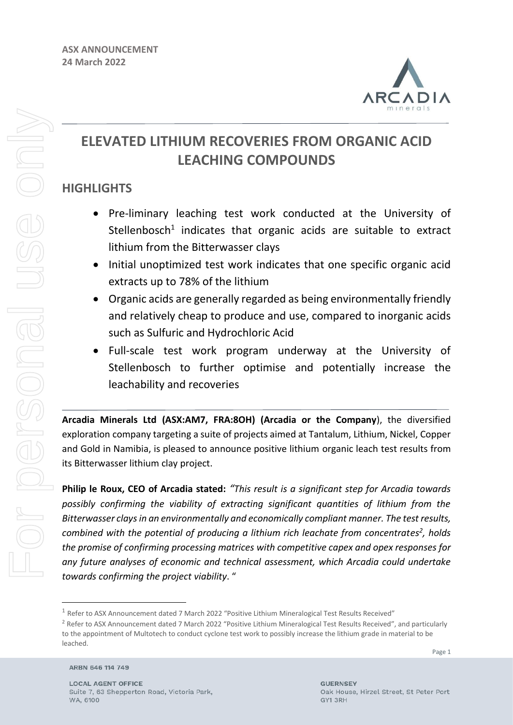

# **ELEVATED LITHIUM RECOVERIES FROM ORGANIC ACID LEACHING COMPOUNDS**

## **HIGHLIGHTS**

- Pre-liminary leaching test work conducted at the University of Stellenbosch<sup>1</sup> indicates that organic acids are suitable to extract lithium from the Bitterwasser clays
- Initial unoptimized test work indicates that one specific organic acid extracts up to 78% of the lithium
- Organic acids are generally regarded as being environmentally friendly and relatively cheap to produce and use, compared to inorganic acids such as Sulfuric and Hydrochloric Acid
- Full-scale test work program underway at the University of Stellenbosch to further optimise and potentially increase the leachability and recoveries

**Arcadia Minerals Ltd (ASX:AM7, FRA:8OH) (Arcadia or the Company**), the diversified exploration company targeting a suite of projects aimed at Tantalum, Lithium, Nickel, Copper and Gold in Namibia, is pleased to announce positive lithium organic leach test results from its Bitterwasser lithium clay project.

**Philip le Roux, CEO of Arcadia stated:** *"This result is a significant step for Arcadia towards possibly confirming the viability of extracting significant quantities of lithium from the Bitterwasser clays in an environmentally and economically compliant manner. The test results, combined with the potential of producing a lithium rich leachate from concentrates<sup>2</sup> , holds the promise of confirming processing matrices with competitive capex and opex responses for any future analyses of economic and technical assessment, which Arcadia could undertake towards confirming the project viability*. "

ARBN 646 114 749

<sup>&</sup>lt;sup>1</sup> Refer to ASX Announcement dated 7 March 2022 "Positive Lithium Mineralogical Test Results Received"

<sup>&</sup>lt;sup>2</sup> Refer to ASX Announcement dated 7 March 2022 "Positive Lithium Mineralogical Test Results Received", and particularly to the appointment of Multotech to conduct cyclone test work to possibly increase the lithium grade in material to be leached.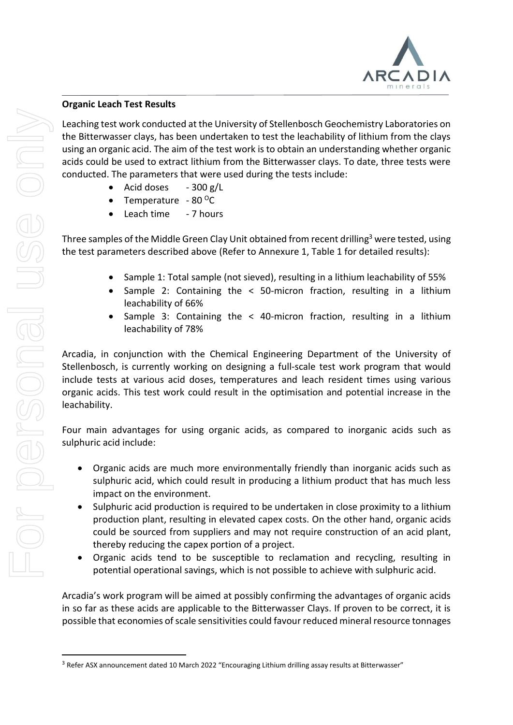

#### **Organic Leach Test Results**

Leaching test work conducted at the University of Stellenbosch Geochemistry Laboratories on the Bitterwasser clays, has been undertaken to test the leachability of lithium from the clays using an organic acid. The aim of the test work is to obtain an understanding whether organic acids could be used to extract lithium from the Bitterwasser clays. To date, three tests were conducted. The parameters that were used during the tests include:

- Acid doses  $-300$  g/L
- Temperature  $80^{\circ}$ C
- Leach time 7 hours

Three samples of the Middle Green Clay Unit obtained from recent drilling<sup>3</sup> were tested, using the test parameters described above (Refer to Annexure 1, Table 1 for detailed results):

- Sample 1: Total sample (not sieved), resulting in a lithium leachability of 55%
- Sample 2: Containing the < 50-micron fraction, resulting in a lithium leachability of 66%
- Sample 3: Containing the  $\lt$  40-micron fraction, resulting in a lithium leachability of 78%

Arcadia, in conjunction with the Chemical Engineering Department of the University of Stellenbosch, is currently working on designing a full-scale test work program that would include tests at various acid doses, temperatures and leach resident times using various organic acids. This test work could result in the optimisation and potential increase in the leachability.

Four main advantages for using organic acids, as compared to inorganic acids such as sulphuric acid include:

- Organic acids are much more environmentally friendly than inorganic acids such as sulphuric acid, which could result in producing a lithium product that has much less impact on the environment.
- Sulphuric acid production is required to be undertaken in close proximity to a lithium production plant, resulting in elevated capex costs. On the other hand, organic acids could be sourced from suppliers and may not require construction of an acid plant, thereby reducing the capex portion of a project.
- Organic acids tend to be susceptible to reclamation and recycling, resulting in potential operational savings, which is not possible to achieve with sulphuric acid.

Arcadia's work program will be aimed at possibly confirming the advantages of organic acids in so far as these acids are applicable to the Bitterwasser Clays. If proven to be correct, it is possible that economies of scale sensitivities could favour reduced mineral resource tonnages

<sup>&</sup>lt;sup>3</sup> Refer ASX announcement dated 10 March 2022 "Encouraging Lithium drilling assay results at Bitterwasser"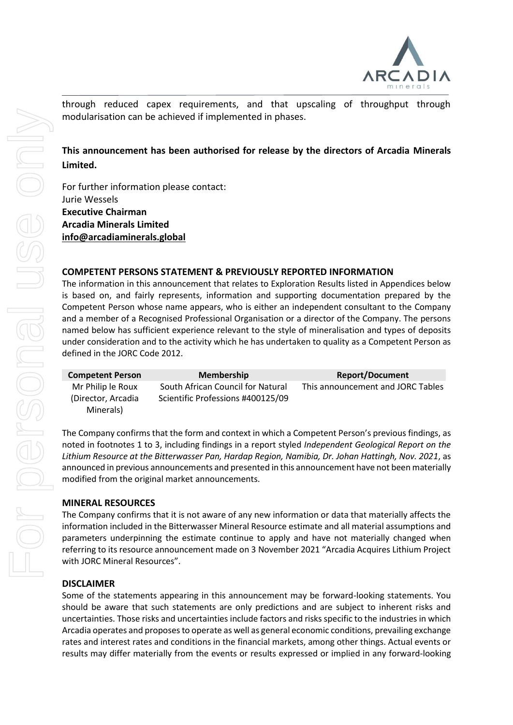

through reduced capex requirements, and that upscaling of throughput through modularisation can be achieved if implemented in phases.

## **This announcement has been authorised for release by the directors of Arcadia Minerals Limited.**

For further information please contact: Jurie Wessels **Executive Chairman Arcadia Minerals Limited [info@arcadiaminerals.global](mailto:info@arcadiaminerals.global)**

#### **COMPETENT PERSONS STATEMENT & PREVIOUSLY REPORTED INFORMATION**

The information in this announcement that relates to Exploration Results listed in Appendices below is based on, and fairly represents, information and supporting documentation prepared by the Competent Person whose name appears, who is either an independent consultant to the Company and a member of a Recognised Professional Organisation or a director of the Company. The persons named below has sufficient experience relevant to the style of mineralisation and types of deposits under consideration and to the activity which he has undertaken to quality as a Competent Person as defined in the JORC Code 2012.

| <b>Competent Person</b>         | <b>Membership</b>                 | <b>Report/Document</b>            |
|---------------------------------|-----------------------------------|-----------------------------------|
| Mr Philip le Roux               | South African Council for Natural | This announcement and JORC Tables |
| (Director, Arcadia<br>Minerals) | Scientific Professions #400125/09 |                                   |

The Company confirms that the form and context in which a Competent Person's previous findings, as noted in footnotes 1 to 3, including findings in a report styled *Independent Geological Report on the Lithium Resource at the Bitterwasser Pan, Hardap Region, Namibia, Dr. Johan Hattingh, Nov. 2021*, as announced in previous announcements and presented in this announcement have not been materially modified from the original market announcements.

#### **MINERAL RESOURCES**

The Company confirms that it is not aware of any new information or data that materially affects the information included in the Bitterwasser Mineral Resource estimate and all material assumptions and parameters underpinning the estimate continue to apply and have not materially changed when referring to its resource announcement made on 3 November 2021 "Arcadia Acquires Lithium Project with JORC Mineral Resources".

#### **DISCLAIMER**

Some of the statements appearing in this announcement may be forward-looking statements. You should be aware that such statements are only predictions and are subject to inherent risks and uncertainties. Those risks and uncertainties include factors and risks specific to the industries in which Arcadia operates and proposes to operate as well as general economic conditions, prevailing exchange rates and interest rates and conditions in the financial markets, among other things. Actual events or results may differ materially from the events or results expressed or implied in any forward-looking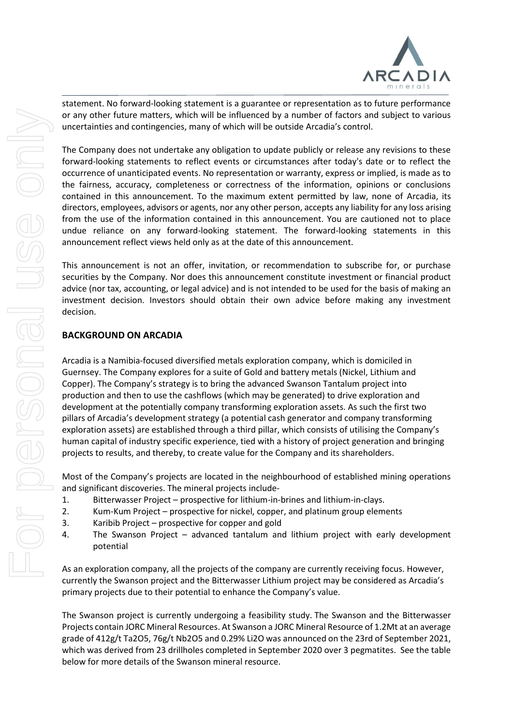

statement. No forward-looking statement is a guarantee or representation as to future performance or any other future matters, which will be influenced by a number of factors and subject to various uncertainties and contingencies, many of which will be outside Arcadia's control.

The Company does not undertake any obligation to update publicly or release any revisions to these forward-looking statements to reflect events or circumstances after today's date or to reflect the occurrence of unanticipated events. No representation or warranty, express or implied, is made as to the fairness, accuracy, completeness or correctness of the information, opinions or conclusions contained in this announcement. To the maximum extent permitted by law, none of Arcadia, its directors, employees, advisors or agents, nor any other person, accepts any liability for any loss arising from the use of the information contained in this announcement. You are cautioned not to place undue reliance on any forward-looking statement. The forward-looking statements in this announcement reflect views held only as at the date of this announcement.

This announcement is not an offer, invitation, or recommendation to subscribe for, or purchase securities by the Company. Nor does this announcement constitute investment or financial product advice (nor tax, accounting, or legal advice) and is not intended to be used for the basis of making an investment decision. Investors should obtain their own advice before making any investment decision.

#### **BACKGROUND ON ARCADIA**

Arcadia is a Namibia-focused diversified metals exploration company, which is domiciled in Guernsey. The Company explores for a suite of Gold and battery metals (Nickel, Lithium and Copper). The Company's strategy is to bring the advanced Swanson Tantalum project into production and then to use the cashflows (which may be generated) to drive exploration and development at the potentially company transforming exploration assets. As such the first two pillars of Arcadia's development strategy (a potential cash generator and company transforming exploration assets) are established through a third pillar, which consists of utilising the Company's human capital of industry specific experience, tied with a history of project generation and bringing projects to results, and thereby, to create value for the Company and its shareholders.

Most of the Company's projects are located in the neighbourhood of established mining operations and significant discoveries. The mineral projects include-

- 1. Bitterwasser Project prospective for lithium-in-brines and lithium-in-clays.
- 2. Kum-Kum Project prospective for nickel, copper, and platinum group elements
- 3. Karibib Project prospective for copper and gold
- 4. The Swanson Project advanced tantalum and lithium project with early development potential

As an exploration company, all the projects of the company are currently receiving focus. However, currently the Swanson project and the Bitterwasser Lithium project may be considered as Arcadia's primary projects due to their potential to enhance the Company's value.

The Swanson project is currently undergoing a feasibility study. The Swanson and the Bitterwasser Projects contain JORC Mineral Resources. At Swanson a JORC Mineral Resource of 1.2Mt at an average grade of 412g/t Ta2O5, 76g/t Nb2O5 and 0.29% Li2O was announced on the 23rd of September 2021, which was derived from 23 drillholes completed in September 2020 over 3 pegmatites. See the table below for more details of the Swanson mineral resource.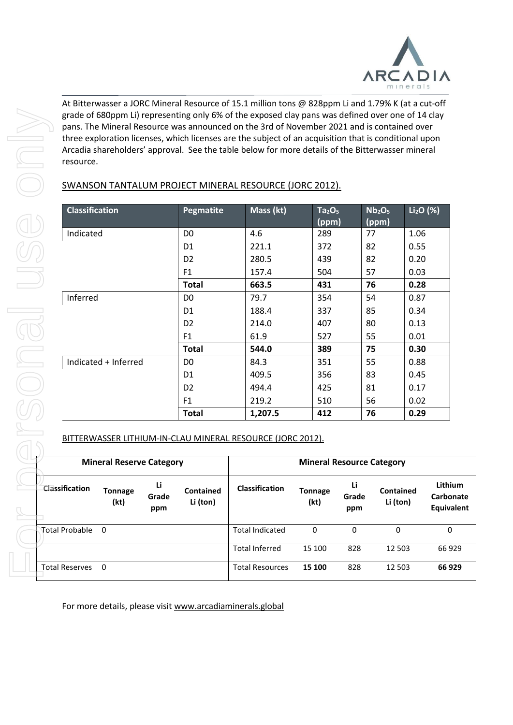

At Bitterwasser a JORC Mineral Resource of 15.1 million tons @ 828ppm Li and 1.79% K (at a cut-off grade of 680ppm Li) representing only 6% of the exposed clay pans was defined over one of 14 clay pans. The Mineral Resource was announced on the 3rd of November 2021 and is contained over three exploration licenses, which licenses are the subject of an acquisition that is conditional upon Arcadia shareholders' approval. See the table below for more details of the Bitterwasser mineral resource.

|                       |                                 |                    |                              | pans. The Mineral Resource was announced on the 3rd of November 2021 and is contained over<br>three exploration licenses, which licenses are the subject of an acquisition that is conditional upon<br>Arcadia shareholders' approval. See the table below for more details of the Bitterwasser mineral |                                         |                    |                                         |                              |
|-----------------------|---------------------------------|--------------------|------------------------------|---------------------------------------------------------------------------------------------------------------------------------------------------------------------------------------------------------------------------------------------------------------------------------------------------------|-----------------------------------------|--------------------|-----------------------------------------|------------------------------|
| resource.             |                                 |                    |                              |                                                                                                                                                                                                                                                                                                         |                                         |                    |                                         |                              |
|                       |                                 |                    |                              | SWANSON TANTALUM PROJECT MINERAL RESOURCE (JORC 2012).                                                                                                                                                                                                                                                  |                                         |                    |                                         |                              |
| <b>Classification</b> |                                 |                    | Pegmatite                    | Mass (kt)                                                                                                                                                                                                                                                                                               | Ta <sub>2</sub> O <sub>5</sub><br>(ppm) |                    | Nb <sub>2</sub> O <sub>5</sub><br>(ppm) | $Li2O$ (%)                   |
| Indicated             |                                 |                    | D <sub>0</sub>               | 4.6                                                                                                                                                                                                                                                                                                     | 289                                     | 77                 | 1.06                                    |                              |
|                       |                                 |                    | D <sub>1</sub>               | 221.1                                                                                                                                                                                                                                                                                                   | 372                                     | 82                 | 0.55                                    |                              |
|                       |                                 |                    | D <sub>2</sub>               | 280.5                                                                                                                                                                                                                                                                                                   | 439                                     | 82                 | 0.20                                    |                              |
|                       |                                 |                    | F1                           | 157.4                                                                                                                                                                                                                                                                                                   | 504                                     | 57                 | 0.03                                    |                              |
|                       |                                 |                    | <b>Total</b>                 | 663.5                                                                                                                                                                                                                                                                                                   | 431                                     | 76                 | 0.28                                    |                              |
| Inferred              |                                 |                    | D <sub>0</sub>               | 79.7                                                                                                                                                                                                                                                                                                    | 354                                     | 54                 | 0.87                                    |                              |
|                       |                                 |                    | D <sub>1</sub>               | 188.4                                                                                                                                                                                                                                                                                                   | 337                                     | 85                 | 0.34                                    |                              |
|                       |                                 |                    | D <sub>2</sub>               | 214.0                                                                                                                                                                                                                                                                                                   | 407                                     | 80                 | 0.13                                    |                              |
|                       |                                 |                    | F <sub>1</sub>               | 61.9                                                                                                                                                                                                                                                                                                    | 527                                     | 55                 | 0.01                                    |                              |
|                       |                                 |                    | <b>Total</b>                 | 544.0                                                                                                                                                                                                                                                                                                   | 389                                     | 75                 | 0.30                                    |                              |
|                       | Indicated + Inferred            |                    | D <sub>0</sub>               | 84.3                                                                                                                                                                                                                                                                                                    | 351                                     | 55                 | 0.88                                    |                              |
|                       |                                 |                    | D <sub>1</sub>               | 409.5                                                                                                                                                                                                                                                                                                   | 356                                     | 83                 | 0.45                                    |                              |
|                       |                                 |                    | D <sub>2</sub>               | 494.4                                                                                                                                                                                                                                                                                                   | 425                                     | 81                 | 0.17                                    |                              |
|                       |                                 |                    | F <sub>1</sub>               | 219.2                                                                                                                                                                                                                                                                                                   | 510                                     | 56                 | 0.02                                    |                              |
|                       |                                 |                    | <b>Total</b>                 | 1,207.5                                                                                                                                                                                                                                                                                                 | 412                                     | 76                 | 0.29                                    |                              |
|                       |                                 |                    |                              | BITTERWASSER LITHIUM-IN-CLAU MINERAL RESOURCE (JORC 2012).                                                                                                                                                                                                                                              |                                         |                    |                                         |                              |
|                       | <b>Mineral Reserve Category</b> |                    |                              |                                                                                                                                                                                                                                                                                                         | <b>Mineral Resource Category</b>        |                    |                                         |                              |
| Classification        | <b>Tonnage</b><br>(kt)          | Li<br>Grade<br>ppm | <b>Contained</b><br>Li (ton) | Classification                                                                                                                                                                                                                                                                                          | <b>Tonnage</b><br>(kt)                  | Li<br>Grade<br>ppm | Contained<br>Li (ton)                   | Lith<br><b>Carb</b><br>Equiv |
| <b>Total Probable</b> | $\mathbf 0$                     |                    |                              | <b>Total Indicated</b>                                                                                                                                                                                                                                                                                  | 0                                       | 0                  | 0                                       |                              |
|                       |                                 |                    |                              | <b>Total Inferred</b>                                                                                                                                                                                                                                                                                   | 15 100                                  | 828                | 12 503                                  | 66                           |
| <b>Total Reserves</b> | $\mathbf 0$                     |                    |                              | <b>Total Resources</b>                                                                                                                                                                                                                                                                                  | 15 100                                  | 828                | 12 503                                  | 66                           |
|                       |                                 |                    |                              | For more details, please visit www.arcadiaminerals.global                                                                                                                                                                                                                                               |                                         |                    |                                         |                              |

#### BITTERWASSER LITHIUM-IN-CLAU MINERAL RESOURCE (JORC 2012).

|                       | <b>Mineral Reserve Category</b> |                    |                       | <b>Mineral Resource Category</b> |                        |                    |                              |                                                  |
|-----------------------|---------------------------------|--------------------|-----------------------|----------------------------------|------------------------|--------------------|------------------------------|--------------------------------------------------|
| Classification        | <b>Tonnage</b><br>(kt)          | Li<br>Grade<br>ppm | Contained<br>Li (ton) | <b>Classification</b>            | <b>Tonnage</b><br>(kt) | Li<br>Grade<br>ppm | <b>Contained</b><br>Li (ton) | <b>Lithium</b><br>Carbonate<br><b>Equivalent</b> |
| <b>Total Probable</b> | $\Omega$                        |                    |                       | <b>Total Indicated</b>           | 0                      | 0                  | 0                            | 0                                                |
|                       |                                 |                    |                       | <b>Total Inferred</b>            | 15 100                 | 828                | 12 503                       | 66 929                                           |
| <b>Total Reserves</b> | 0                               |                    |                       | <b>Total Resources</b>           | 15 100                 | 828                | 12 503                       | 66 929                                           |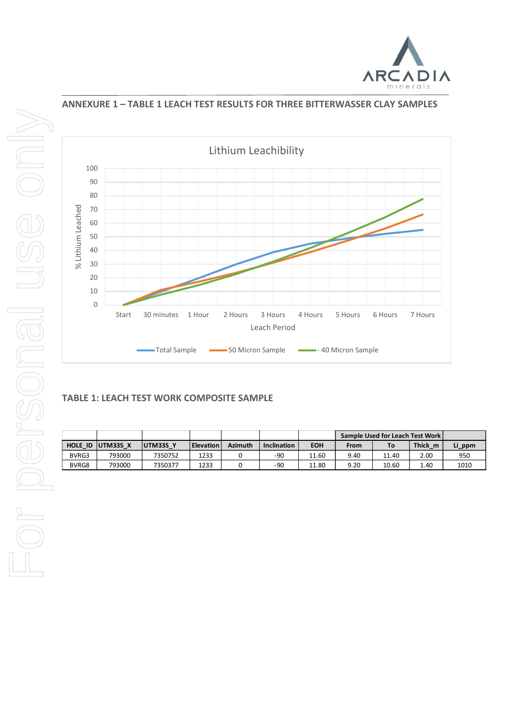



#### **ANNEXURE 1 – TABLE 1 LEACH TEST RESULTS FOR THREE BITTERWASSER CLAY SAMPLES**



## **TABLE 1: LEACH TEST WORK COMPOSITE SAMPLE**

|       |                  |                  |                  |                |                    |            |      | Sample Used for Leach Test Work |         |        |
|-------|------------------|------------------|------------------|----------------|--------------------|------------|------|---------------------------------|---------|--------|
|       | HOLE ID UTM33S X | <b>IUTM33S Y</b> | <b>Elevation</b> | <b>Azimuth</b> | <b>Inclination</b> | <b>EOH</b> | From | To                              | Thick m | Li_ppm |
| BVRG3 | 793000           | 7350752          | 1233             |                | -90                | 11.60      | 9.40 | 11.40                           | 2.00    | 950    |
| BVRG8 | 793000           | 7350377          | 1233             |                | -90                | 11.80      | 9.20 | 10.60                           | 1.40    | 1010   |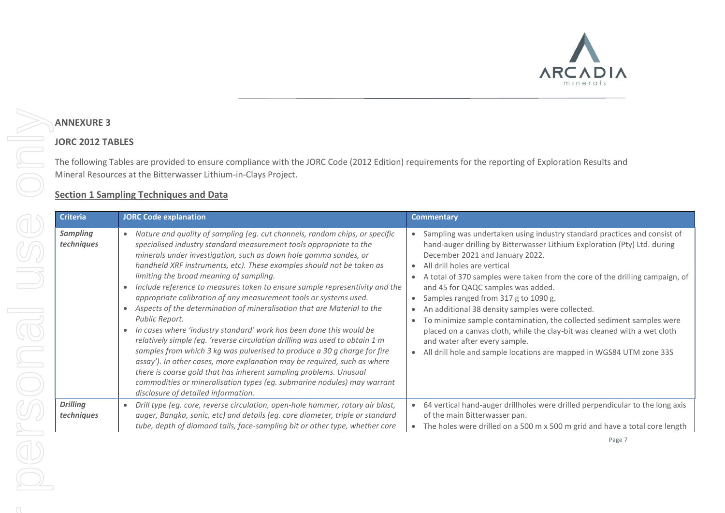

## **ANNEXURE 3**

N

## **JORC 2012 TABLES**

The following Tables are provided to ensure compliance with the JORC Code (2012 Edition) requirements for the reporting of Exploration Results and Mineral Resources at the Bitterwasser Lithium-in-Clays Project.

## **Section 1 Sampling Techniques and Data**

| <b>JORC Code explanation</b>                                                                                                                                                                                                                                                                                                                                                                                                                                                                                                                                                                                                                                                                                                                                                                                                                                                                                                                                                                                                                                                                                 | <b>Commentary</b>                                                                                                                                                                                                                                                                                                                                                                                                                                                                                                                                                                                                                                                                                                                                |
|--------------------------------------------------------------------------------------------------------------------------------------------------------------------------------------------------------------------------------------------------------------------------------------------------------------------------------------------------------------------------------------------------------------------------------------------------------------------------------------------------------------------------------------------------------------------------------------------------------------------------------------------------------------------------------------------------------------------------------------------------------------------------------------------------------------------------------------------------------------------------------------------------------------------------------------------------------------------------------------------------------------------------------------------------------------------------------------------------------------|--------------------------------------------------------------------------------------------------------------------------------------------------------------------------------------------------------------------------------------------------------------------------------------------------------------------------------------------------------------------------------------------------------------------------------------------------------------------------------------------------------------------------------------------------------------------------------------------------------------------------------------------------------------------------------------------------------------------------------------------------|
| Nature and quality of sampling (eg. cut channels, random chips, or specific<br>$\bullet$<br>specialised industry standard measurement tools appropriate to the<br>minerals under investigation, such as down hole gamma sondes, or<br>handheld XRF instruments, etc). These examples should not be taken as<br>limiting the broad meaning of sampling.<br>Include reference to measures taken to ensure sample representivity and the<br>appropriate calibration of any measurement tools or systems used.<br>Aspects of the determination of mineralisation that are Material to the<br>Public Report.<br>In cases where 'industry standard' work has been done this would be<br>relatively simple (eg. 'reverse circulation drilling was used to obtain 1 m<br>samples from which 3 kg was pulverised to produce a 30 g charge for fire<br>assay'). In other cases, more explanation may be required, such as where<br>there is coarse gold that has inherent sampling problems. Unusual<br>commodities or mineralisation types (eg. submarine nodules) may warrant<br>disclosure of detailed information. | Sampling was undertaken using industry standard practices and consist of<br>$\bullet$<br>hand-auger drilling by Bitterwasser Lithium Exploration (Pty) Ltd. during<br>December 2021 and January 2022.<br>All drill holes are vertical<br>$\bullet$<br>A total of 370 samples were taken from the core of the drilling campaign, of<br>and 45 for QAQC samples was added.<br>Samples ranged from 317 g to 1090 g.<br>An additional 38 density samples were collected.<br>$\bullet$<br>To minimize sample contamination, the collected sediment samples were<br>placed on a canvas cloth, while the clay-bit was cleaned with a wet cloth<br>and water after every sample.<br>All drill hole and sample locations are mapped in WGS84 UTM zone 33S |
| Drill type (eg. core, reverse circulation, open-hole hammer, rotary air blast,<br>$\bullet$<br>auger, Bangka, sonic, etc) and details (eg. core diameter, triple or standard                                                                                                                                                                                                                                                                                                                                                                                                                                                                                                                                                                                                                                                                                                                                                                                                                                                                                                                                 | 64 vertical hand-auger drillholes were drilled perpendicular to the long axis<br>of the main Bitterwasser pan.<br>The holes were drilled on a 500 m x 500 m grid and have a total core length                                                                                                                                                                                                                                                                                                                                                                                                                                                                                                                                                    |
|                                                                                                                                                                                                                                                                                                                                                                                                                                                                                                                                                                                                                                                                                                                                                                                                                                                                                                                                                                                                                                                                                                              | tube, depth of diamond tails, face-sampling bit or other type, whether core                                                                                                                                                                                                                                                                                                                                                                                                                                                                                                                                                                                                                                                                      |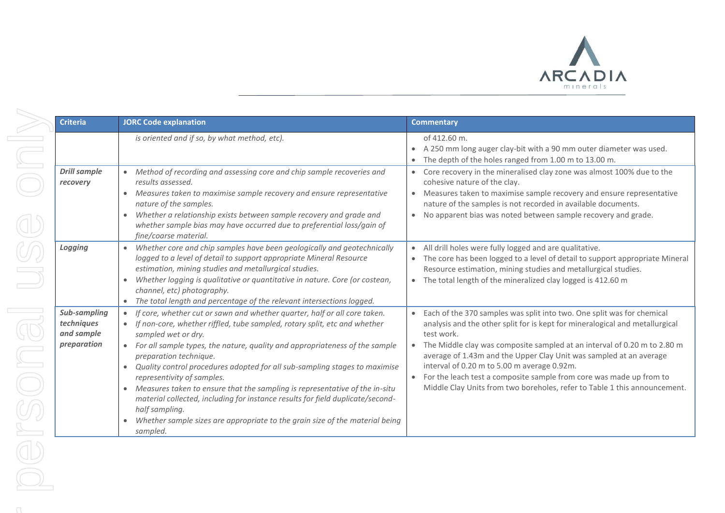

| <b>Criteria</b>                                         | <b>JORC Code explanation</b>                                                                                                                                                                                                                                                                                                                                                                                                                                                                                                                                                                                                                                                                       | <b>Commentary</b>                                                                                                                                                                                                                                                                                                                                                                                                                                                                                                                                   |
|---------------------------------------------------------|----------------------------------------------------------------------------------------------------------------------------------------------------------------------------------------------------------------------------------------------------------------------------------------------------------------------------------------------------------------------------------------------------------------------------------------------------------------------------------------------------------------------------------------------------------------------------------------------------------------------------------------------------------------------------------------------------|-----------------------------------------------------------------------------------------------------------------------------------------------------------------------------------------------------------------------------------------------------------------------------------------------------------------------------------------------------------------------------------------------------------------------------------------------------------------------------------------------------------------------------------------------------|
|                                                         | is oriented and if so, by what method, etc).                                                                                                                                                                                                                                                                                                                                                                                                                                                                                                                                                                                                                                                       | of 412.60 m.<br>A 250 mm long auger clay-bit with a 90 mm outer diameter was used.<br>$\bullet$<br>The depth of the holes ranged from 1.00 m to 13.00 m.                                                                                                                                                                                                                                                                                                                                                                                            |
| <b>Drill sample</b><br>recovery                         | • Method of recording and assessing core and chip sample recoveries and<br>results assessed.<br>• Measures taken to maximise sample recovery and ensure representative<br>nature of the samples.<br>Whether a relationship exists between sample recovery and grade and<br>whether sample bias may have occurred due to preferential loss/gain of<br>fine/coarse material.                                                                                                                                                                                                                                                                                                                         | Core recovery in the mineralised clay zone was almost 100% due to the<br>cohesive nature of the clay.<br>Measures taken to maximise sample recovery and ensure representative<br>$\bullet$<br>nature of the samples is not recorded in available documents.<br>No apparent bias was noted between sample recovery and grade.                                                                                                                                                                                                                        |
| Logging                                                 | • Whether core and chip samples have been geologically and geotechnically<br>logged to a level of detail to support appropriate Mineral Resource<br>estimation, mining studies and metallurgical studies.<br>Whether logging is qualitative or quantitative in nature. Core (or costean,<br>channel, etc) photography.<br>• The total length and percentage of the relevant intersections logged.                                                                                                                                                                                                                                                                                                  | All drill holes were fully logged and are qualitative.<br>$\bullet$<br>The core has been logged to a level of detail to support appropriate Mineral<br>Resource estimation, mining studies and metallurgical studies.<br>The total length of the mineralized clay logged is 412.60 m<br>$\bullet$                                                                                                                                                                                                                                                   |
| Sub-sampling<br>techniques<br>and sample<br>preparation | If core, whether cut or sawn and whether quarter, half or all core taken.<br>If non-core, whether riffled, tube sampled, rotary split, etc and whether<br>sampled wet or dry.<br>• For all sample types, the nature, quality and appropriateness of the sample<br>preparation technique.<br>Quality control procedures adopted for all sub-sampling stages to maximise<br>$\bullet$<br>representivity of samples.<br>• Measures taken to ensure that the sampling is representative of the in-situ<br>material collected, including for instance results for field duplicate/second-<br>half sampling.<br>Whether sample sizes are appropriate to the grain size of the material being<br>sampled. | Each of the 370 samples was split into two. One split was for chemical<br>$\bullet$<br>analysis and the other split for is kept for mineralogical and metallurgical<br>test work.<br>The Middle clay was composite sampled at an interval of 0.20 m to 2.80 m<br>$\bullet$<br>average of 1.43m and the Upper Clay Unit was sampled at an average<br>interval of 0.20 m to 5.00 m average 0.92m.<br>For the leach test a composite sample from core was made up from to<br>Middle Clay Units from two boreholes, refer to Table 1 this announcement. |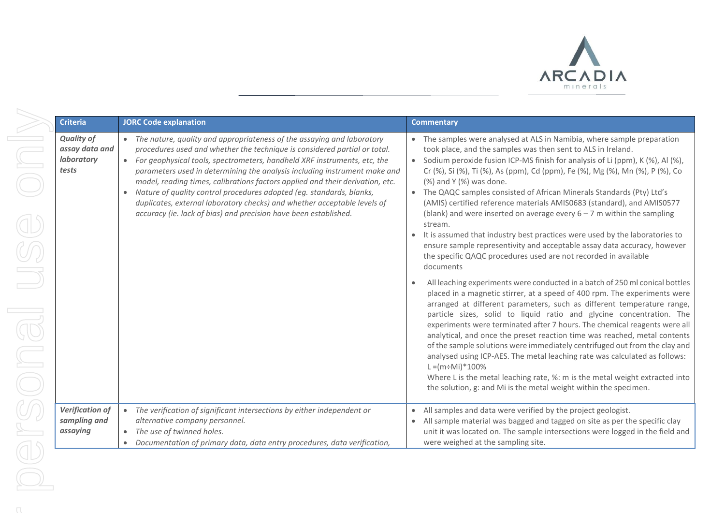

| <b>Criteria</b>                                            | <b>JORC Code explanation</b>                                                                                                                                                                                                                                                                                                                                                                                                                                                                                                                                                                                                                    | <b>Commentary</b>                                                                                                                                                                                                                                                                                                                                                                                                                                                                                                                                                                                                                                                                                                                                                                                                            |
|------------------------------------------------------------|-------------------------------------------------------------------------------------------------------------------------------------------------------------------------------------------------------------------------------------------------------------------------------------------------------------------------------------------------------------------------------------------------------------------------------------------------------------------------------------------------------------------------------------------------------------------------------------------------------------------------------------------------|------------------------------------------------------------------------------------------------------------------------------------------------------------------------------------------------------------------------------------------------------------------------------------------------------------------------------------------------------------------------------------------------------------------------------------------------------------------------------------------------------------------------------------------------------------------------------------------------------------------------------------------------------------------------------------------------------------------------------------------------------------------------------------------------------------------------------|
| <b>Quality of</b><br>assay data and<br>laboratory<br>tests | The nature, quality and appropriateness of the assaying and laboratory<br>$\bullet$<br>procedures used and whether the technique is considered partial or total.<br>For geophysical tools, spectrometers, handheld XRF instruments, etc, the<br>$\bullet$<br>parameters used in determining the analysis including instrument make and<br>model, reading times, calibrations factors applied and their derivation, etc.<br>Nature of quality control procedures adopted (eg. standards, blanks,<br>duplicates, external laboratory checks) and whether acceptable levels of<br>accuracy (ie. lack of bias) and precision have been established. | • The samples were analysed at ALS in Namibia, where sample preparation<br>took place, and the samples was then sent to ALS in Ireland.<br>• Sodium peroxide fusion ICP-MS finish for analysis of Li (ppm), K (%), Al (%),<br>Cr (%), Si (%), Ti (%), As (ppm), Cd (ppm), Fe (%), Mg (%), Mn (%), P (%), Co<br>(%) and Y (%) was done.<br>• The QAQC samples consisted of African Minerals Standards (Pty) Ltd's<br>(AMIS) certified reference materials AMIS0683 (standard), and AMIS0577<br>(blank) and were inserted on average every $6 - 7$ m within the sampling<br>stream.<br>It is assumed that industry best practices were used by the laboratories to<br>ensure sample representivity and acceptable assay data accuracy, however<br>the specific QAQC procedures used are not recorded in available<br>documents |
|                                                            |                                                                                                                                                                                                                                                                                                                                                                                                                                                                                                                                                                                                                                                 | All leaching experiments were conducted in a batch of 250 ml conical bottles<br>placed in a magnetic stirrer, at a speed of 400 rpm. The experiments were<br>arranged at different parameters, such as different temperature range,<br>particle sizes, solid to liquid ratio and glycine concentration. The<br>experiments were terminated after 7 hours. The chemical reagents were all<br>analytical, and once the preset reaction time was reached, metal contents<br>of the sample solutions were immediately centrifuged out from the clay and<br>analysed using ICP-AES. The metal leaching rate was calculated as follows:<br>$L = (m \div M_i)^* 100\%$<br>Where L is the metal leaching rate, %: m is the metal weight extracted into<br>the solution, g: and Mi is the metal weight within the specimen.           |
| <b>Verification of</b><br>sampling and<br>assaying         | The verification of significant intersections by either independent or<br>$\bullet$<br>alternative company personnel.<br>The use of twinned holes.<br>$\bullet$<br>Documentation of primary data, data entry procedures, data verification,                                                                                                                                                                                                                                                                                                                                                                                                     | All samples and data were verified by the project geologist.<br>All sample material was bagged and tagged on site as per the specific clay<br>unit it was located on. The sample intersections were logged in the field and<br>were weighed at the sampling site.                                                                                                                                                                                                                                                                                                                                                                                                                                                                                                                                                            |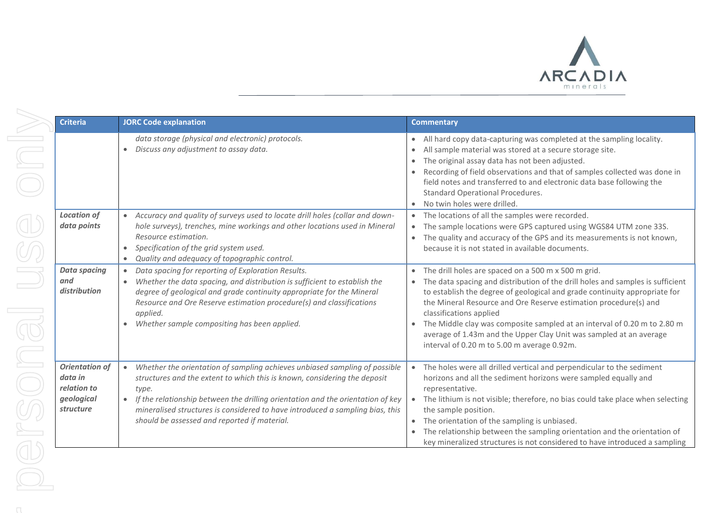

| <b>Criteria</b>                                                            | <b>JORC Code explanation</b>                                                                                                                                                                                                                                                                                                                                                                                   | <b>Commentary</b>                                                                                                                                                                                                                                                                                                                                                                                                                                                                                                                                          |
|----------------------------------------------------------------------------|----------------------------------------------------------------------------------------------------------------------------------------------------------------------------------------------------------------------------------------------------------------------------------------------------------------------------------------------------------------------------------------------------------------|------------------------------------------------------------------------------------------------------------------------------------------------------------------------------------------------------------------------------------------------------------------------------------------------------------------------------------------------------------------------------------------------------------------------------------------------------------------------------------------------------------------------------------------------------------|
|                                                                            | data storage (physical and electronic) protocols.<br>Discuss any adjustment to assay data.<br>$\bullet$                                                                                                                                                                                                                                                                                                        | All hard copy data-capturing was completed at the sampling locality.<br>$\bullet$<br>All sample material was stored at a secure storage site.<br>The original assay data has not been adjusted.<br>Recording of field observations and that of samples collected was done in<br>field notes and transferred to and electronic data base following the<br>Standard Operational Procedures.<br>No twin holes were drilled.<br>$\bullet$                                                                                                                      |
| <b>Location of</b><br>data points                                          | Accuracy and quality of surveys used to locate drill holes (collar and down-<br>$\bullet$<br>hole surveys), trenches, mine workings and other locations used in Mineral<br>Resource estimation.<br>Specification of the grid system used.<br>$\bullet$<br>Quality and adequacy of topographic control.                                                                                                         | The locations of all the samples were recorded.<br>The sample locations were GPS captured using WGS84 UTM zone 33S.<br>$\bullet$<br>The quality and accuracy of the GPS and its measurements is not known,<br>$\bullet$<br>because it is not stated in available documents.                                                                                                                                                                                                                                                                                |
| <b>Data spacing</b><br>and<br>distribution                                 | Data spacing for reporting of Exploration Results.<br>Whether the data spacing, and distribution is sufficient to establish the<br>$\bullet$<br>degree of geological and grade continuity appropriate for the Mineral<br>Resource and Ore Reserve estimation procedure(s) and classifications<br>applied.<br>Whether sample compositing has been applied.<br>$\bullet$                                         | The drill holes are spaced on a 500 m x 500 m grid.<br>$\bullet$<br>The data spacing and distribution of the drill holes and samples is sufficient<br>$\bullet$<br>to establish the degree of geological and grade continuity appropriate for<br>the Mineral Resource and Ore Reserve estimation procedure(s) and<br>classifications applied<br>The Middle clay was composite sampled at an interval of 0.20 m to 2.80 m<br>$\bullet$<br>average of 1.43m and the Upper Clay Unit was sampled at an average<br>interval of 0.20 m to 5.00 m average 0.92m. |
| <b>Orientation of</b><br>data in<br>relation to<br>geological<br>structure | Whether the orientation of sampling achieves unbiased sampling of possible<br>$\bullet$<br>structures and the extent to which this is known, considering the deposit<br>type.<br>If the relationship between the drilling orientation and the orientation of key<br>$\bullet$<br>mineralised structures is considered to have introduced a sampling bias, this<br>should be assessed and reported if material. | The holes were all drilled vertical and perpendicular to the sediment<br>$\bullet$<br>horizons and all the sediment horizons were sampled equally and<br>representative.<br>The lithium is not visible; therefore, no bias could take place when selecting<br>$\bullet$<br>the sample position.<br>The orientation of the sampling is unbiased.<br>$\bullet$<br>The relationship between the sampling orientation and the orientation of<br>$\bullet$<br>key mineralized structures is not considered to have introduced a sampling                        |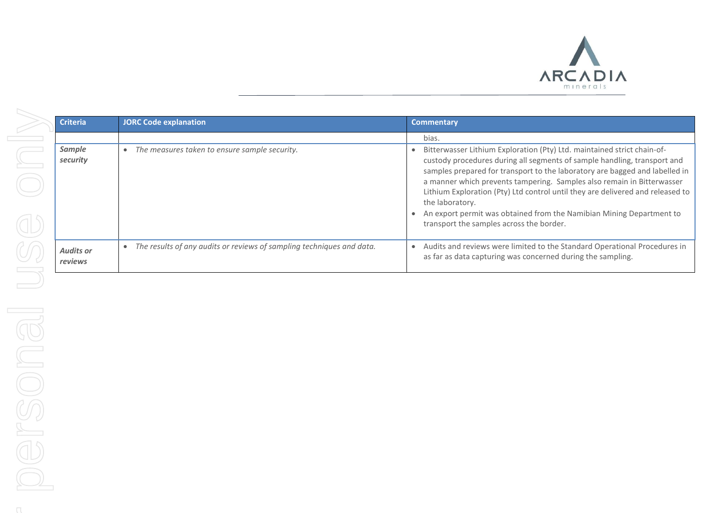

| <b>Criteria</b>             | <b>JORC Code explanation</b>                                          | <b>Commentary</b>                                                                                                                                                                                                                                                                                                                                                                                                                                                                                                                     |
|-----------------------------|-----------------------------------------------------------------------|---------------------------------------------------------------------------------------------------------------------------------------------------------------------------------------------------------------------------------------------------------------------------------------------------------------------------------------------------------------------------------------------------------------------------------------------------------------------------------------------------------------------------------------|
|                             |                                                                       | bias.                                                                                                                                                                                                                                                                                                                                                                                                                                                                                                                                 |
| Sample<br>security          | The measures taken to ensure sample security.                         | Bitterwasser Lithium Exploration (Pty) Ltd. maintained strict chain-of-<br>custody procedures during all segments of sample handling, transport and<br>samples prepared for transport to the laboratory are bagged and labelled in<br>a manner which prevents tampering. Samples also remain in Bitterwasser<br>Lithium Exploration (Pty) Ltd control until they are delivered and released to<br>the laboratory.<br>An export permit was obtained from the Namibian Mining Department to<br>transport the samples across the border. |
| <b>Audits or</b><br>reviews | The results of any audits or reviews of sampling techniques and data. | Audits and reviews were limited to the Standard Operational Procedures in<br>as far as data capturing was concerned during the sampling.                                                                                                                                                                                                                                                                                                                                                                                              |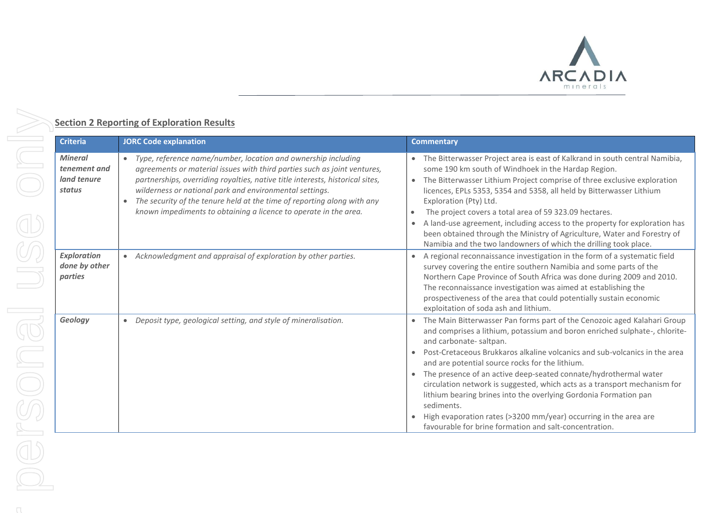

### **Section 2 Reporting of Exploration Results**

| <b>Criteria</b>                                         | <b>JORC Code explanation</b>                                                                                                                                                                                                                                                                                                                                                                                                                        | <b>Commentary</b>                                                                                                                                                                                                                                                                                                                                                                                                                                                                                                                                                                                                                                                                      |
|---------------------------------------------------------|-----------------------------------------------------------------------------------------------------------------------------------------------------------------------------------------------------------------------------------------------------------------------------------------------------------------------------------------------------------------------------------------------------------------------------------------------------|----------------------------------------------------------------------------------------------------------------------------------------------------------------------------------------------------------------------------------------------------------------------------------------------------------------------------------------------------------------------------------------------------------------------------------------------------------------------------------------------------------------------------------------------------------------------------------------------------------------------------------------------------------------------------------------|
| <b>Mineral</b><br>tenement and<br>land tenure<br>status | • Type, reference name/number, location and ownership including<br>agreements or material issues with third parties such as joint ventures,<br>partnerships, overriding royalties, native title interests, historical sites,<br>wilderness or national park and environmental settings.<br>The security of the tenure held at the time of reporting along with any<br>$\bullet$<br>known impediments to obtaining a licence to operate in the area. | • The Bitterwasser Project area is east of Kalkrand in south central Namibia,<br>some 190 km south of Windhoek in the Hardap Region.<br>• The Bitterwasser Lithium Project comprise of three exclusive exploration<br>licences, EPLs 5353, 5354 and 5358, all held by Bitterwasser Lithium<br>Exploration (Pty) Ltd.<br>The project covers a total area of 59 323.09 hectares.<br>$\bullet$<br>A land-use agreement, including access to the property for exploration has<br>been obtained through the Ministry of Agriculture, Water and Forestry of<br>Namibia and the two landowners of which the drilling took place.                                                              |
| <b>Exploration</b><br>done by other<br>parties          | • Acknowledgment and appraisal of exploration by other parties.                                                                                                                                                                                                                                                                                                                                                                                     | • A regional reconnaissance investigation in the form of a systematic field<br>survey covering the entire southern Namibia and some parts of the<br>Northern Cape Province of South Africa was done during 2009 and 2010.<br>The reconnaissance investigation was aimed at establishing the<br>prospectiveness of the area that could potentially sustain economic<br>exploitation of soda ash and lithium.                                                                                                                                                                                                                                                                            |
| Geology                                                 | • Deposit type, geological setting, and style of mineralisation.                                                                                                                                                                                                                                                                                                                                                                                    | • The Main Bitterwasser Pan forms part of the Cenozoic aged Kalahari Group<br>and comprises a lithium, potassium and boron enriched sulphate-, chlorite-<br>and carbonate-saltpan.<br>Post-Cretaceous Brukkaros alkaline volcanics and sub-volcanics in the area<br>and are potential source rocks for the lithium.<br>• The presence of an active deep-seated connate/hydrothermal water<br>circulation network is suggested, which acts as a transport mechanism for<br>lithium bearing brines into the overlying Gordonia Formation pan<br>sediments.<br>High evaporation rates (>3200 mm/year) occurring in the area are<br>favourable for brine formation and salt-concentration. |

ND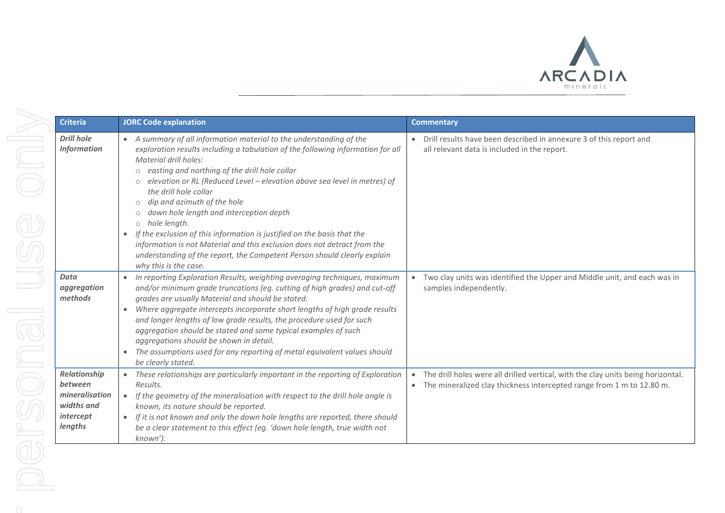

| <b>Criteria</b>                                                                 | <b>JORC Code explanation</b>                                                                                                                                                                                                                                                                                                                                                                                                                                                                                                                                                                                                                                                                                                 | <b>Commentary</b>                                                                                                                                                        |
|---------------------------------------------------------------------------------|------------------------------------------------------------------------------------------------------------------------------------------------------------------------------------------------------------------------------------------------------------------------------------------------------------------------------------------------------------------------------------------------------------------------------------------------------------------------------------------------------------------------------------------------------------------------------------------------------------------------------------------------------------------------------------------------------------------------------|--------------------------------------------------------------------------------------------------------------------------------------------------------------------------|
| <b>Drill hole</b><br><b>Information</b>                                         | • A summary of all information material to the understanding of the<br>exploration results including a tabulation of the following information for all<br><b>Material drill holes:</b><br>o easting and northing of the drill hole collar<br>elevation or RL (Reduced Level - elevation above sea level in metres) of<br>the drill hole collar<br>dip and azimuth of the hole<br>$\circ$<br>down hole length and interception depth<br>$\circ$<br>o hole length.<br>If the exclusion of this information is justified on the basis that the<br>information is not Material and this exclusion does not detract from the<br>understanding of the report, the Competent Person should clearly explain<br>why this is the case. | • Drill results have been described in annexure 3 of this report and<br>all relevant data is included in the report.                                                     |
| Data<br>aggregation<br>methods                                                  | In reporting Exploration Results, weighting averaging techniques, maximum<br>$\bullet$<br>and/or minimum grade truncations (eg. cutting of high grades) and cut-off<br>grades are usually Material and should be stated.<br>Where aggregate intercepts incorporate short lengths of high grade results<br>$\bullet$<br>and longer lengths of low grade results, the procedure used for such<br>aggregation should be stated and some typical examples of such<br>aggregations should be shown in detail.<br>The assumptions used for any reporting of metal equivalent values should<br>$\bullet$<br>be clearly stated.                                                                                                      | Two clay units was identified the Upper and Middle unit, and each was in<br>$\bullet$<br>samples independently.                                                          |
| Relationship<br>between<br>mineralisation<br>widths and<br>intercept<br>lengths | These relationships are particularly important in the reporting of Exploration<br>Results.<br>If the geometry of the mineralisation with respect to the drill hole angle is<br>$\bullet$<br>known, its nature should be reported.<br>If it is not known and only the down hole lengths are reported, there should<br>$\bullet$<br>be a clear statement to this effect (eg. 'down hole length, true width not<br>known').                                                                                                                                                                                                                                                                                                     | The drill holes were all drilled vertical, with the clay units being horizontal.<br>$\bullet$<br>• The mineralized clay thickness intercepted range from 1 m to 12.80 m. |